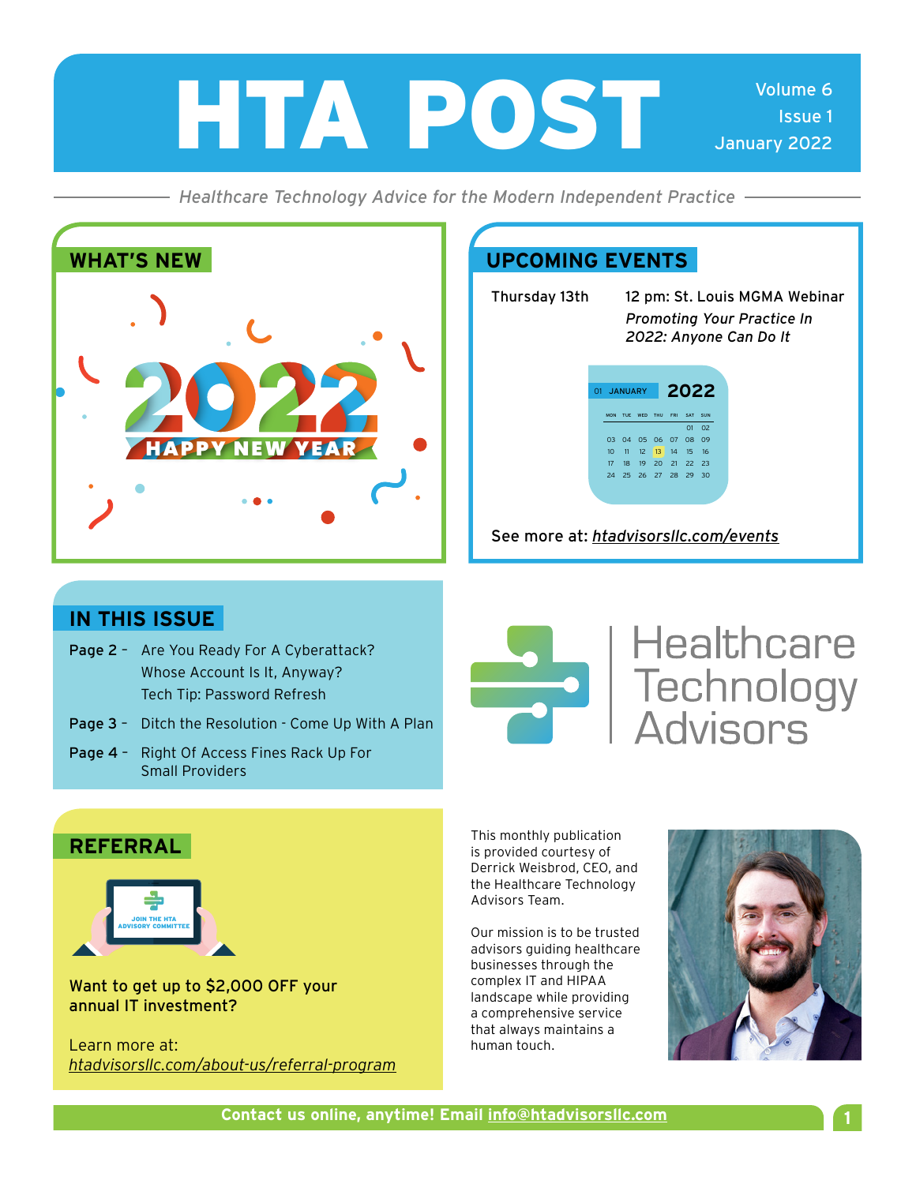

*Healthcare Technology Advice for the Modern Independent Practice*



Thursday 13th 12 pm: St. Louis MGMA Webinar *Promoting Your Practice In 2022: Anyone Can Do It* 

| 2022<br><b>JANUARY</b><br>O <sub>1</sub> |                 |    |                        |  |  |                |                |
|------------------------------------------|-----------------|----|------------------------|--|--|----------------|----------------|
|                                          |                 |    | MON TUE WED THU FRI    |  |  | <b>SAT</b>     | SUN            |
|                                          |                 |    |                        |  |  | O <sub>1</sub> | 0 <sup>2</sup> |
|                                          |                 |    | 03  04  05  06  07  08 |  |  |                | 09             |
|                                          | 10 <sup>2</sup> |    | 11 12 13 14 15 16      |  |  |                |                |
|                                          | 17              | 18 | 19 20 21 22 23         |  |  |                |                |
|                                          | 24              |    | 25 26 27 28 29 30      |  |  |                |                |
|                                          |                 |    |                        |  |  |                |                |

### See more at: *[htadvisorsllc.com/events](http://htadvisorsllc.com/events)*

# **IN THIS ISSUE**

- Page 2 Are You Ready For A Cyberattack? Whose Account Is It, Anyway? Tech Tip: Password Refresh
- Page 3 Ditch the Resolution Come Up With A Plan
- Page 4 Right Of Access Fines Rack Up For Small Providers



# **Healthcare SARA Healthcare**<br>
Technology<br>
Advisors

This monthly publication is provided courtesy of Derrick Weisbrod, CEO, and the Healthcare Technology Advisors Team.

Our mission is to be trusted advisors guiding healthcare businesses through the complex IT and HIPAA landscape while providing a comprehensive service that always maintains a human touch.



### **REFERRAL**



Want to get up to \$2,000 OFF your annual IT investment?

Learn more at: *[htadvisorsllc.com/about-us/referral-program](http://htadvisorsllc.com/about-us/referral-program)*

**Contact us online, anytime! Email1 info@htadvisorsllc.com**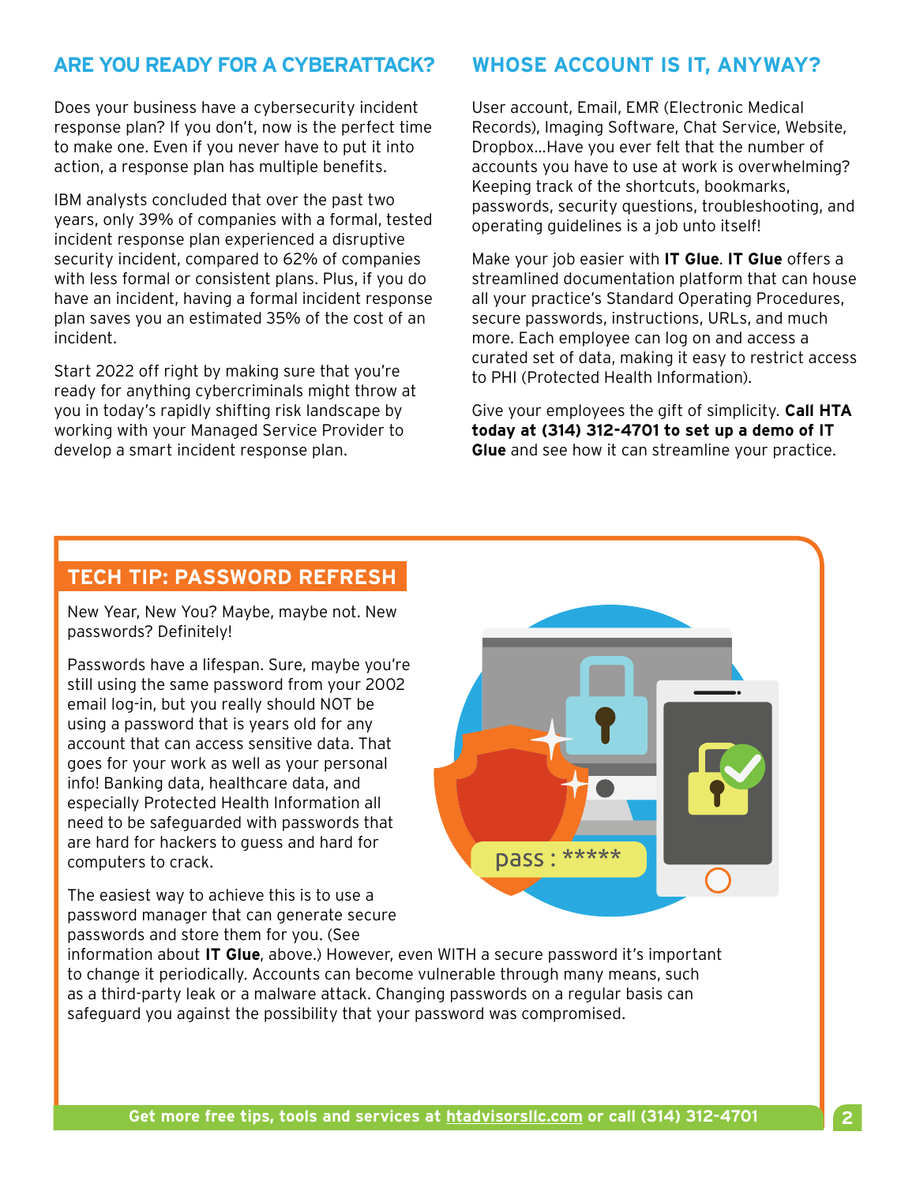### **ARE YOU READY FOR A CYBERATTACK? WHOSE ACCOUNT IS IT, ANYWAY?**

Does your business have a cybersecurity incident response plan? If you don't, now is the perfect time to make one. Even if you never have to put it into action, a response plan has multiple benefits.

IBM analysts concluded that over the past two years, only 39% of companies with a formal, tested incident response plan experienced a disruptive security incident, compared to 62% of companies with less formal or consistent plans. Plus, if you do have an incident, having a formal incident response plan saves you an estimated 35% of the cost of an incident.

Start 2022 off right by making sure that you're ready for anything cybercriminals might throw at you in today's rapidly shifting risk landscape by working with your Managed Service Provider to develop a smart incident response plan.

User account, Email, EMR (Electronic Medical Records), Imaging Software, Chat Service, Website, Dropbox…Have you ever felt that the number of accounts you have to use at work is overwhelming? Keeping track of the shortcuts, bookmarks, passwords, security questions, troubleshooting, and operating guidelines is a job unto itself!

Make your job easier with **IT Glue**. **IT Glue** offers a streamlined documentation platform that can house all your practice's Standard Operating Procedures, secure passwords, instructions, URLs, and much more. Each employee can log on and access a curated set of data, making it easy to restrict access to PHI (Protected Health Information).

Give your employees the gift of simplicity. **Call HTA today at (314) 312-4701 to set up a demo of IT Glue** and see how it can streamline your practice.

### **TECH TIP: PASSWORD REFRESH**

New Year, New You? Maybe, maybe not. New passwords? Definitely!

Passwords have a lifespan. Sure, maybe you're still using the same password from your 2002 email log-in, but you really should NOT be using a password that is years old for any account that can access sensitive data. That goes for your work as well as your personal info! Banking data, healthcare data, and especially Protected Health Information all need to be safeguarded with passwords that are hard for hackers to guess and hard for computers to crack.

The easiest way to achieve this is to use a password manager that can generate secure passwords and store them for you. (See



information about **IT Glue**, above.) However, even WITH a secure password it's important to change it periodically. Accounts can become vulnerable through many means, such as a third-party leak or a malware attack. Changing passwords on a regular basis can safeguard you against the possibility that your password was compromised.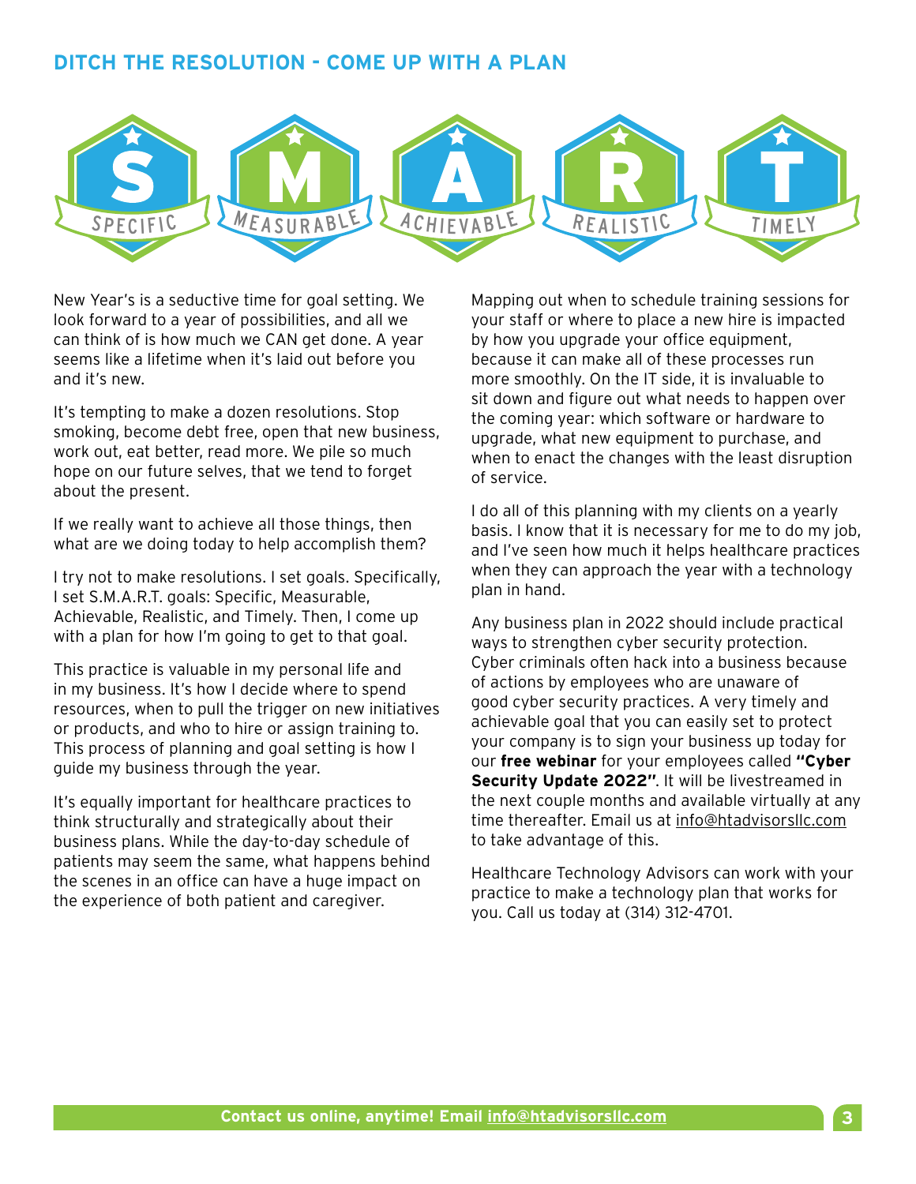### **DITCH THE RESOLUTION - COME UP WITH A PLAN**



New Year's is a seductive time for goal setting. We look forward to a year of possibilities, and all we can think of is how much we CAN get done. A year seems like a lifetime when it's laid out before you and it's new.

It's tempting to make a dozen resolutions. Stop smoking, become debt free, open that new business, work out, eat better, read more. We pile so much hope on our future selves, that we tend to forget about the present.

If we really want to achieve all those things, then what are we doing today to help accomplish them?

I try not to make resolutions. I set goals. Specifically, I set S.M.A.R.T. goals: Specific, Measurable, Achievable, Realistic, and Timely. Then, I come up with a plan for how I'm going to get to that goal.

This practice is valuable in my personal life and in my business. It's how I decide where to spend resources, when to pull the trigger on new initiatives or products, and who to hire or assign training to. This process of planning and goal setting is how I guide my business through the year.

It's equally important for healthcare practices to think structurally and strategically about their business plans. While the day-to-day schedule of patients may seem the same, what happens behind the scenes in an office can have a huge impact on the experience of both patient and caregiver.

Mapping out when to schedule training sessions for your staff or where to place a new hire is impacted by how you upgrade your office equipment, because it can make all of these processes run more smoothly. On the IT side, it is invaluable to sit down and figure out what needs to happen over the coming year: which software or hardware to upgrade, what new equipment to purchase, and when to enact the changes with the least disruption of service.

I do all of this planning with my clients on a yearly basis. I know that it is necessary for me to do my job, and I've seen how much it helps healthcare practices when they can approach the year with a technology plan in hand.

Any business plan in 2022 should include practical ways to strengthen cyber security protection. Cyber criminals often hack into a business because of actions by employees who are unaware of good cyber security practices. A very timely and achievable goal that you can easily set to protect your company is to sign your business up today for our **free webinar** for your employees called **"Cyber Security Update 2022"**. It will be livestreamed in the next couple months and available virtually at any time thereafter. Email us at [info@htadvisorsllc.com](mailto:info@htadvisorsllc.com) to take advantage of this.

Healthcare Technology Advisors can work with your practice to make a technology plan that works for you. Call us today at (314) 312-4701.